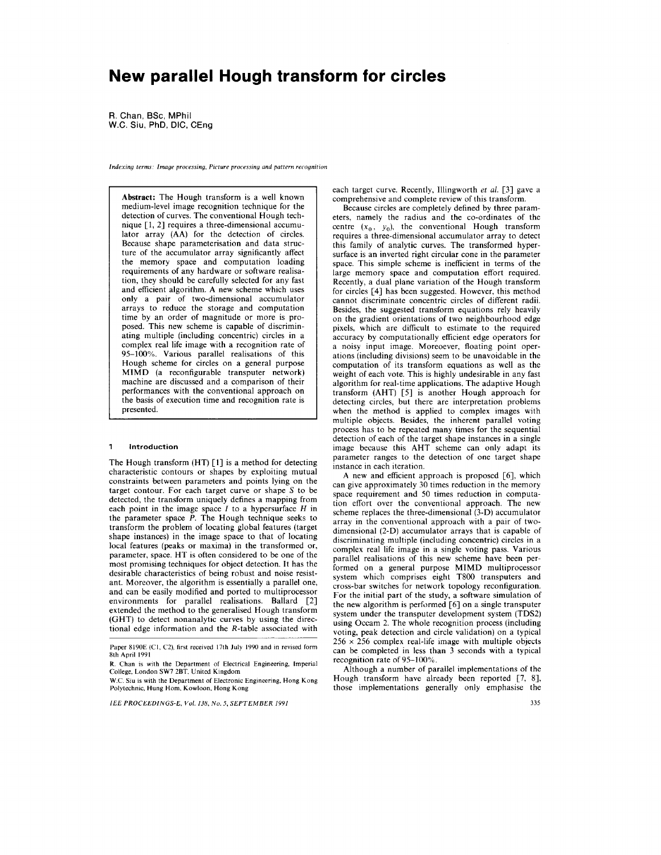# **New parallel Hough transform for circles**

**R.** Chan, **BSc,** MPhil W.C. Siu, PhD, DIC, CEng

**Indexing terms Image processing, Picture processing and pattern recognition** 

**Abstract:** The Hough transform is a well known medium-level image recognition technique for the detection of curves. The conventional Hough technique [1, 2] requires a three-dimensional accumulator array (AA) for the detection of circles. Because shape parameterisation and data structure of the accumulator array significantly affect the memory space and computation loading requirements of any hardware or software realisation, they should be carefully selected for any fast and efficient algorithm. A new scheme which uses only a pair of two-dimensional accumulator arrays to reduce the storage and computation time by an order of magnitude or more is proposed. This new scheme is capable of discriminating multiple (including concentric) circles in a complex real life image with a recognition rate of **95-100%.** Various parallel realisations of this Hough scheme for circles on a general purpose MIMD (a reconfigurable transputer network) machine are discussed and a comparison of their performances with the conventional approach on the basis of execution time and recognition rate is presented.

#### **1 Introduction**

The Hough transform (HT) **[l]** is a method for detecting characteristic contours or shapes by exploiting mutual constraints between parameters and points lying on the target contour. For each target curve or shape *S* to be detected, the transform uniquely defines a mapping from each point in the image space *I* to a hypersurface *H* in the parameter space *P.* The Hough technique seeks to transform the problem of locating global features (target shape instances) in the image space to that of locating local features (peaks or maxima) in the transformed or, parameter, space. HT is often considered to be one of the most promising techniques for object detection. It has the desirable characteristics of being robust and noise resistant. Moreover, the algorithm is essentially a parallel one, and can be easily modified and ported to multiprocessor environments for parallel realisations. Ballard [2] extended the method to the generalised Hough transform (GHT) to detect nonanalytic curves by using the directional edge information and the R-table associated with

each target curve. Recently, Illingworth **er** *al.* [3] gave a comprehensive and complete review of this transform.

Because circles are completely defined by three parameters, namely the radius and the co-ordinates of the centre  $(x_0, y_0)$ , the conventional Hough transform requires a three-dimensional accumulator array to detect this family of analytic curves. The transformed hypersurface is an inverted right circular cone in the parameter space. This simple scheme is inefficient in terms of the large memory space and computation effort required. Recently, a dual plane variation of the Hough transform for circles **[4]** has been suggested. However, this method cannot discriminate concentric circles of different radii. Besides, the suggested transform equations rely heavily on the gradient orientations of two neighbourhood edge pixels, which are difficult to estimate to the required accuracy by computationally efficient edge operators for a noisy input image. Moreoever, floating point operations (including divisions) seem to be unavoidable in the computation of its transform equations as well as the weight of each vote. This is highly undesirable in any fast algorithm for real-time applications. The adaptive Hough transform (AHT) *[5]* is another Hough approach for detecting circles, but there are interpretation problems when the method is applied to complex images with multiple objects. Besides, the inherent parallel voting process has to be repeated many times for the sequential detection of each of the target shape instances in a single image because this AHT scheme can only adapt its parameter ranges to the detection of one target shape instance in each iteration.

A new and efficient approach is proposed [6], which can give approximately 30 times reduction in the memory space requirement and 50 times reduction in computation effort over the conventional approach. The new scheme replaces the three-dimensional (3-D) accumulator array in the conventional approach with a pair of twodimensional (2-D) accumulator arrays that is capable of discriminating multiple (including concentric) circles in a complex real life image in a single voting pass. Various parallel realisations of this new scheme have been performed on a general purpose MIMD multiprocessor system which comprises eight T800 transputers and cross-bar switches for network topology reconfiguration. For the initial part of the study, a software simulation of the new algorithm is performed [6] on a single transputer system under the transputer development system (TDS2) using Occam 2. The whole recognition process (including voting, peak detection and circle validation) on a typical  $256 \times 256$  complex real-life image with multiple objects can be completed in less than 3 seconds with a typical recognition rate of **95-100%.** 

Although a number of parallel implementations of the Hough transform have already been reported  $[7, 8]$ , those implementations generally only emphasise the

Paper 8190E (C1, C2), first received 17th July 1990 and in revised form **8th April 199 1** 

**R. Chan is with the Department** of **Electrical Engineering, Imperial College, London SW7 2BT, United Kingdom** 

**W.C. Siu is with the Department of Electronic Engineering, Hong Kong Polytechnic, Hung Horn, Kowloon, Hong Kong**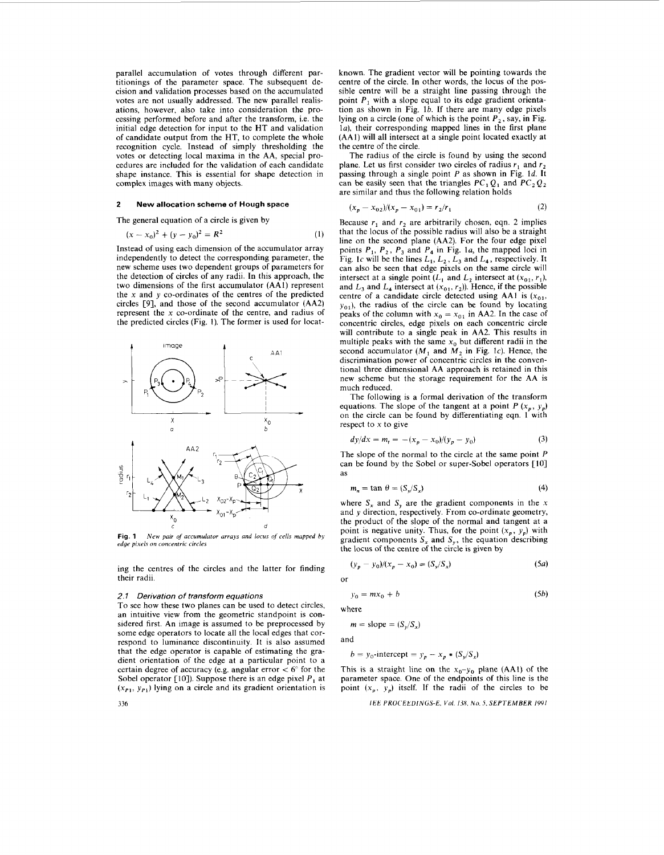parallel accumulation of votes through different partitionings of the parameter space. The subsequent decision and validation processes based on the accumulated votes are not usually addressed. The new parallel realisations, however, also take into consideration the processing performed before and after the transform, i.e. the initial edge detection for input to the HT and validation of candidate output from the HT, to complete the whole recognition cycle. Instead of simply thresholding the votes or detecting local maxima in the **AA,** special procedures are included for the validation of each candidate shape instance. This is essential for shape detection in complex images with many objects.

#### **2 New allocation scheme of Hough space**

The general equation of a circle is given by

$$
(x - x_0)^2 + (y - y_0)^2 = R^2
$$
 (1)

Instead of using each dimension of the accumulator array independently to detect the corresponding parameter, the new scheme uses two dependent groups of parameters for the detection of circles of any radii. In this approach, the two dimensions of the first accumulator **(AA1)** represent the **x** and *y* co-ordinates of the centres of the predicted circles **[SI,** and those of the second accumulator **(AA2)**  represent the **x** co-ordinate of the centre, and radius of the predicted circles (Fig. **1).** The former is used for locat-



**Fig. 1**  *edge pixels on concentric circles New pair* of *accumulator arrays and locus oJ cells mapped by* 

ing the centres of the circles and the latter for finding their radii.

#### *2.1 Derivation of transform equations*

336

To see how these two planes can be used to detect circles, an intuitive view from the geometric standpoint is considered first. **An** image is assumed to be preprocessed by some edge operators to locate all the local edges that correspond to luminance discontinuity. It is also assumed that the edge operator is capable of estimating the gradient orientation of the edge at a particular point to a certain degree of accuracy (e.g. angular error < *6"* for the Sobel operator  $[10]$ ). Suppose there is an edge pixel  $P_1$  at  $(x_{P1}, y_{P1})$  lying on a circle and its gradient orientation is known. The gradient vector will be pointing towards the centre of the circle. In other words, the locus of the possible centre will be a straight line passing through the point *P,* with a slope equal to its edge gradient orientation as shown in Fig.  $1b$ . If there are many edge pixels lying on a circle (one of which is the point  $P_2$ , say, in Fig. **la),** their corresponding mapped lines in the first plane **(AAl)** will all intersect at a single point located exactly at the centre of the circle.

The radius of the circle is found by using the second plane. Let us first consider two circles of radius  $r_1$  and  $r_2$ passing through a single point *P* as shown in Fig. **Id.** It can be easily seen that the triangles  $PC_1Q_1$  and  $PC_2Q_2$  are similar and thus the following relation holds

$$
(x_p - x_{02})/(x_p - x_{01}) = r_2/r_1
$$
 (2)

Because  $r_1$  and  $r_2$  are arbitrarily chosen, eqn. 2 implies that the locus of the possible radius will also be a straight line on the second plane **(AA2).** For the four edge pixel points *P,, P,, P,* and *P,* in Fig. **la,** the mapped loci in Fig. 1c will be the lines  $L_1, L_2, L_3$  and  $L_4$ , respectively. It can also be seen that edge pixels on the same circle will intersect at a single point  $(L_1$  and  $L_2$  intersect at  $(x_{01}, r_1)$ , and  $L_3$  and  $L_4$  intersect at  $(x_{01}, r_2)$ ). Hence, if the possible centre of a candidate circle detected using AA1 is  $(x_{01},$  $y_{01}$ ), the radius of the circle can be found by locating peaks of the column with  $x_0 = x_{01}$  in AA2. In the case of concentric circles, edge pixels on each concentric circle will contribute to a single peak in **AA2.** This results in multiple peaks with the same  $x_0$  but different radii in the second accumulator ( $M_1$  and  $M_2$  in Fig. 1c). Hence, the discrimination power of concentric circles in the conventional three dimensional **AA** approach is retained in this new scheme but the storage requirement for the **AA** is much reduced.

The following is a formal derivation of the transform equations. The slope of the tangent at a point  $P(x_p, y_p)$ on the circle can be found by differentiating eqn. **1** with respect to  $x$  to give

$$
dy/dx = m_t = -(x_p - x_0)/(y_p - y_0)
$$
 (3)

The slope of the normal to the circle at the same point *P*  can be found by the Sobel or super-Sobel operators [10] as

$$
m_n = \tan \theta = (S_y/S_x) \tag{4}
$$

where  $S_x$  and  $S_y$  are the gradient components in the x and *y* direction, respectively. From co-ordinate geometry, the product of the slope of the normal and tangent at a point is negative unity. Thus, for the point  $(x_p, y_p)$  with gradient components  $S_x$  and  $S_y$ , the equation describing the locus of the centre of the circle is given by

$$
(y_p - y_0)/(x_p - x_0) = (S_y/S_x)
$$
 (5*a*)

or

$$
y_0 = mx_0 + b \tag{5b}
$$

where

$$
m = slope = (S_{\nu}/S_{\nu})
$$

and

$$
b = y_0\text{-intercept} = y_p - x_p * (S_y/S_x)
$$

This is a straight line on the  $x_0-y_0$  plane (AA1) of the parameter space. One of the endpoints of this line is the point  $(x_p, y_p)$  itself. If the radii of the circles to be

*161: PROCEtDINtiS-E, Vol. 1.M.* **No.** *5. SEPTEMBER 19Vl*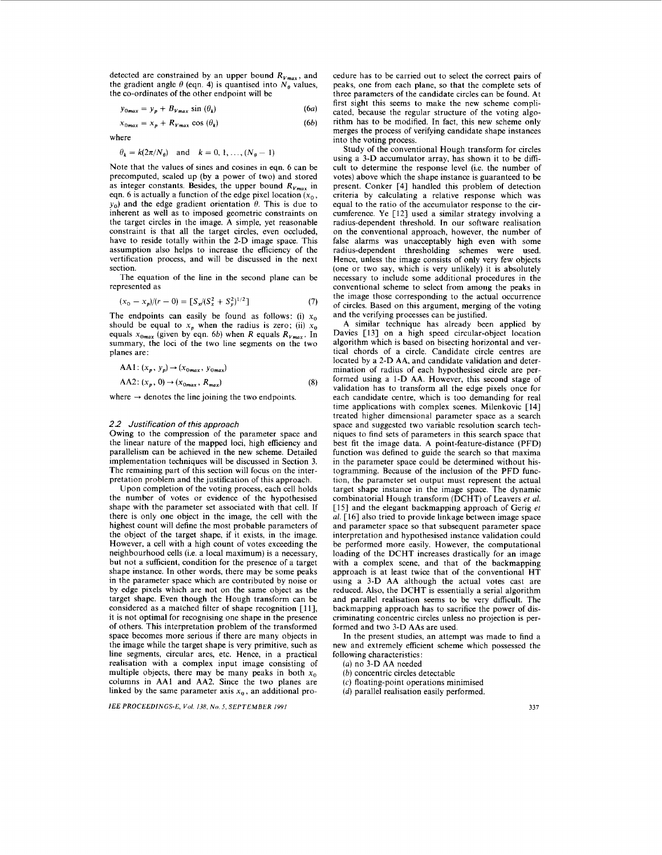detected are constrained by an upper bound  $R_{Vmax}$ , and the gradient angle  $\theta$  (eqn. 4) is quantised into  $N_{\theta}$  values, the co-ordinates of the other endpoint will be

$$
y_{0max} = y_p + B_{Vmax} \sin(\theta_k) \tag{6a}
$$

$$
x_{0max} = x_p + R_{Vmax} \cos(\theta_k) \tag{6b}
$$

where

$$
\theta_k = k(2\pi/N_\theta) \quad \text{and} \quad k = 0, 1, \ldots, (N_\theta - 1)
$$

Note that the values of sines and cosines in eqn. **6** can be precomputed, scaled up (by a power of two) and stored as integer constants. Besides, the upper bound  $R_{V_{max}}$  in eqn. 6 is actually a function of the edge pixel location  $(x_0, x_0)$  $y_0$ ) and the edge gradient orientation  $\theta$ . This is due to inherent as well as to imposed geometric constraints on the target circles in the image. A simple, yet reasonable constraint is that all the target circles, even occluded, have to reside totally within the 2-D image space. This assumption also helps to increase the efficiency of the vertification process, and will be discussed in the next section.

The equation of the line in the second plane can be represented as

$$
(x_0 - x_p)/(r - 0) = \left[ S_x/(S_x^2 + S_y^2)^{1/2} \right] \tag{7}
$$

The endpoints can easily be found as follows: (i)  $x_0$ should be equal to  $x_p$  when the radius is zero; (ii)  $x_0$ equals  $x_{0max}$  (given by eqn. 6b) when *R* equals  $R_{Vmax}$ . In summary, the loci of the two line segments on the two planes are:

$$
AA1: (x_p, y_p) \rightarrow (x_{0max}, y_{0max})
$$
  

$$
AA2: (x_p, 0) \rightarrow (x_{0max}, R_{max})
$$
 (8)

where  $\rightarrow$  denotes the line joining the two endpoints.

# *2.2 Justification of this approach*

Owing to the compression of the parameter space and the linear nature of the mapped loci, high efficiency and parallelism can be achieved in the new scheme. Detailed implementation techniques will be discussed in Section 3. The remaining part of this section will focus on the interpretation problem and the justification of this approach.

Upon completion of the voting process, each cell holds the number of votes or evidence of the hypothesised shape with the parameter set associated with that cell. If there is only one object in the image, the cell with the highest count will define the most probable parameters of the object of the target shape, if it exists, in the image. However, a cell with a high count of votes exceeding the neighbourhood cells (i.e. a local maximum) is a necessary, but not a sufficient, condition for the presence of a target shape instance. In other words, there may be some peaks in the parameter space which are contributed by noise or by edge pixels which are not on the same object as the target shape. Even though the Hough transform can be considered as a matched filter of shape recognition [11], it is not optimal for recognising one shape in the presence of others. This interpretation problem of the transformed space becomes more serious if there are many objects in the image while the target shape is very primitive, such as line segments, circular arcs, etc. Hence, in a practical realisation with a complex input image consisting of multiple objects, there may be many peaks in both  $x_0$ columns in **AA1** and AA2. Since the two planes are linked by the same parameter axis  $x<sub>0</sub>$ , an additional pro-

*IEE PROCEEDINGS-E, Vol. 138, No.* **5.** *SEPTEMBER 1991* 

cedure has to be carried out to select the correct pairs of peaks, one from each plane, *so* that the complete sets of three parameters of the candidate circles can be found. At first sight this seems to make the new scheme complicated, because the regular structure of the voting algorithm has to be modified. In fact, this new scheme only merges the process of verifying candidate shape instances into the voting process.

Study of the conventional Hough transform for circles using a 3-D accumulator array, has shown it to be difficult to determine the response level (i.e. the number of votes) above which the shape instance is guaranteed to be present. Conker **[4]** handled this problem of detection criteria by calculating a relative response which was equal to the ratio of the accumulator response to the circumference. Ye **[12]** used a similar strategy involving a radius-dependent threshold. In our software realisation on the conventional approach, however, the number of false alarms was unacceptably high even with some radius-dependent thresholding schemes were used. Hence, unless the image consists of only very few objects (one or two say, which is very unlikely) it is absolutely necessary to include some additional procedures in the conventional scheme to select from among the peaks in the image those corresponding to the actual occurrence of circles. Based on this argument, merging of the voting and the verifying processes can be justified.

A similar technique has already been applied by Davies **[13]** on a high speed circular-object location algorithm which is based on bisecting horizontal and vertical chords of a circle. Candidate circle centres are located by a 2-D AA, and candidate validation and determination of radius of each hypothesised circle are performed using a 1-D AA. However, this second stage of validation has to transform all the edge pixels once for each candidate centre, which is too demanding for real time applications with complex scenes. Milenkovic [14] treated higher dimensional parameter space as a search space and suggested two variable resolution search techniques to find sets of parameters in this search space that best fit the image data. A point-feature-distance (PFD) function was defined to guide the search so that maxima in the parameter space could be determined without histogramming. Because of the inclusion of the PFD function, the parameter set output must represent the actual target shape instance in the image space. The dynamic combinatorial Hough transform (DCHT) of Leavers *et* **al. [lS]** and the elegant backmapping approach of Gerig *et*  **al. [16]** also tried to provide linkage between image space and parameter space so that subsequent parameter space interpretation and hypothesised instance validation could be performed more easily. However, the computational loading of the DCHT increases drastically for an image with a complex scene, and that of the backmapping approach is at least twice that of the conventional HT using a 3-D AA although the actual votes cast are reduced. Also, the DCHT is essentially a serial algorithm and parallel realisation seems to be very difficult. The backmapping approach has to sacrifice the power of discriminating concentric circles unless no projection is performed and two 3-D **AAs** are used.

In the present studies, an attempt was made to find a new and extremely efficient scheme which possessed the following characteristics:

**(a)** no 3-D AA needed

*(b)* concentric circles detectable

(c) floating-point operations minimised

*(d)* parallel realisation easily performed.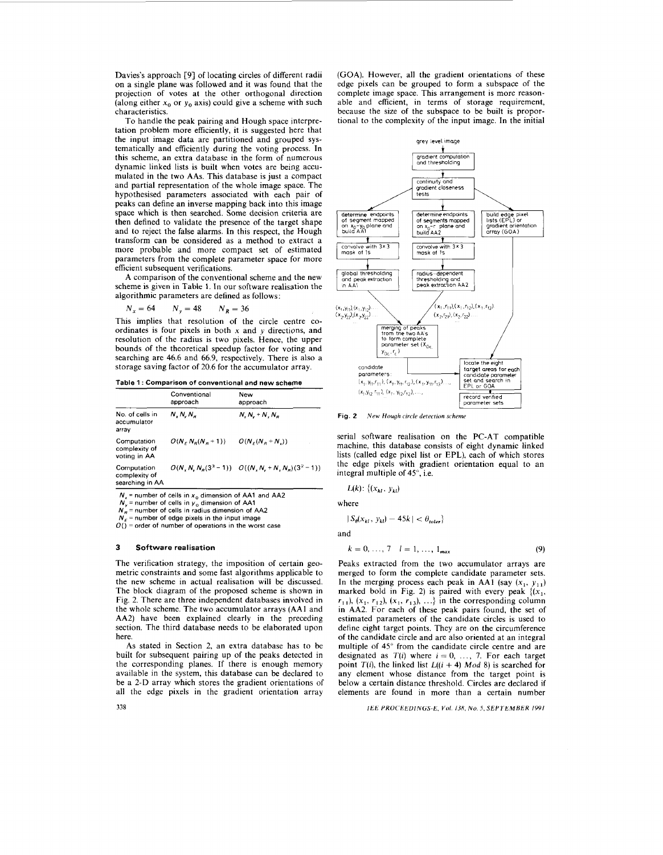Davies's approach **[9]** of locating circles of different radii on a single plane was followed and it was found that the projection of votes at the other orthogonal direction (along either  $x_0$  or  $y_0$  axis) could give a scheme with such characteristics.

To handle the peak pairing and Hough space interpretation problem more efficiently, it is suggested here that the input image data are partitioned and grouped systematically and efficiently during the voting process. In this scheme, an extra database in the form of numerous dynamic linked lists is built when votes are being accumulated in the two **AAs.** This database is just **a** compact and partial representation of the whole image space. The hypothesised parameters associated with each pair of peaks can define an inverse mapping back into this image space which is then searched. Some decision criteria are then defined to validate the presence of the target shape and to reject the false alarms. In this respect, the Hough transform can be considered as a method to extract a more probable and more compact set of estimated parameters from the complete parameter space for more efficient subsequent verifications.

**A** comparison of the conventional scheme and the new scheme is given in Table 1. In our software realisation the algorithmic parameters are defined as follows:

$$
N_x = 64 \qquad N_y = 48 \qquad N_R = 36
$$

This implies that resolution of the circle centre coordinates is four pixels in both  $x$  and  $y$  directions, and resolution of the radius is two pixels. Hence, the upper bounds of the theoretical speedup factor for voting and searching are **46.6** and **66.9,** respectively. There is also **a**  storage saving factor of **20.6** for the accumulator array.

**Table 1** : **Comparison of conventional and new scheme** 

|                                                 | Conventional<br>approach | New<br>approach                                   |  |  |
|-------------------------------------------------|--------------------------|---------------------------------------------------|--|--|
| No. of cells in<br>accumulator<br>arrav         | $N, N, N_a$              | $N, N, +N, N_a$                                   |  |  |
| Computation<br>complexity of<br>voting in AA    | $O(N_e N_e(N_e+1))$      | $O(N_c(N_c+N_c))$                                 |  |  |
| Computation<br>complexity of<br>searching in AA |                          | $O(N, N, N_s(3^3-1))$ $O((N, N, +N, N_s)(3^2-1))$ |  |  |

~ ~

*N,* = **number** of **cells in** *xo* **dimension** of **AA1 and AA2** 

 $N_y$  = number of cells in  $y_0$  dimension of AA1  $N_B$  = number of cells in radius dimension of AA2

*N,* = **number of edge pixels in the input image** 

**O() =order of number** of **operations in the worst case** 

### **3 Software realisation**

**338** 

The verification strategy, the imposition of certain geometric constraints and some fast algorithms applicable to the new scheme in actual realisation will be discussed. The block diagram of the proposed scheme is shown in Fig. **2.** There are three independent databases involved in the whole scheme. The two accumulator arrays **(AA1** and **AA2)** have been explained clearly in the preceding section. The third database needs to be elaborated upon here.

**As** stated in Section **2,** an extra database has to be built for subsequent pairing up of the peaks detected in the corresponding planes. If there is enough memory available in the system, this database can be declared to be a **2-D** array which stores the gradient orientations of all the edge pixels in the gradient orientation array

**(GOA).** However, all the gradient orientations of these edge pixels can be grouped to form a subspace of the complete image space. This arrangement is more reasonable and efficient, in terms of storage requirement, because the size of the subspace to be built is proportional to the complexity of the input image. In the initial



**Fig. 2** *New Hough circle detection scheme* 

serial software realisation on the PC-AT compatible machine, this database consists of eight dynamic linked lists (called edge pixel list or EPL), each of which stores the edge pixels with gradient orientation equal to an integral multiple of **45",** i.e.

$$
L(k): \{(x_{kl}, y_{kl})\}
$$

where

$$
|S_{\theta}(x_{kl}, y_{kl}) - 45k| < \theta_{\text{toler}}\}
$$

and

$$
k = 0, ..., 7 \quad l = 1, ..., 1_{max}
$$
 (9)

Peaks extracted from the two accumulator arrays are merged to form the complete candidate parameter sets. In the merging process each peak in AA1  $(say (x_1, y_{11}))$ marked bold in Fig. 2) is paired with every peak  $\{(x_1,$  $r_{11}$ ,  $(x_1, r_{12})$ ,  $(x_1, r_{13})$ , ...} in the corresponding column in **AA2.** For each of these peak pairs found, the set of estimated parameters of the candidate circles is used to define eight target points. They are on the circumference of the candidate circle and are also oriented at an integral multiple of **45"** from the candidate circle centre and are designated as  $T(i)$  where  $i = 0, \ldots, 7$ . For each target point  $T(i)$ , the linked list  $L((i + 4) \text{ Mod } 8)$  is searched for any element whose distance from the target point is below a certain distance threshold. Circles are declared if elements are found in more than **a** certain number

*IEE PROCEEDINGS-E, Vol. 138, No. 5, SEPTEMBER 1991*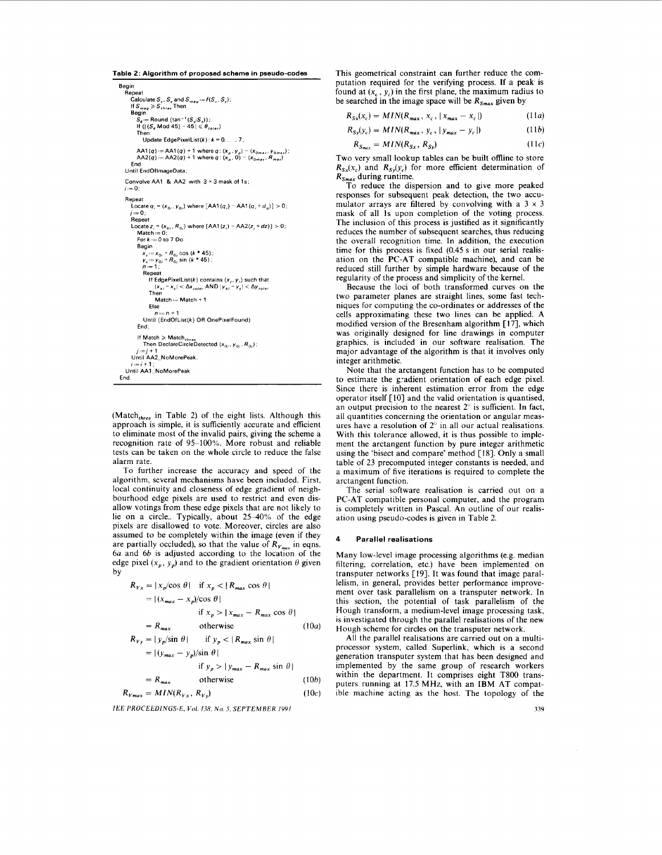```
Table 2: Algorithm of proposed scheme in pseudo-codes 
   Begin 
        Repeat Calculate S_x, S_y and S_{mag} := f(S_x)<br>
If S_{mag} \geqslant S_{thres} Then Begin
              S_{\theta} := Round (tan<sup>-</sup>' (S_{\theta}/S_{\pi})) ;<br>If (| (S_{\theta} Mod 45) - 45 | \leq \theta_{to}Then . 
                  Update EdgePixelList(k)'k=O, , 7. 
               AA1 (4) .=AAl(q) + 1 whereq: (x,.yo) 
AA2(q) :=AA2(q) + 1 whereq. (x,. 0) ~ (xoma., Rma,) 
(Xome., Yoma,): 
        End 
Until EndOflmageData, 
      Convolve AA1 & AA2 with 3 × 3 mask of 1s;
      i=0:
      Repeat 
           Locate q_i = (x_0, y_0) where [AA1(q_i) - AA1(q_i + d_q)] > 0;
           /:=O. 
Repeat 
          \text{Locate } z_i = (x_{0i}, R_{0i}) \text{ where } [\text{AA1}(z_i) - \text{AA2}(z_i + dz)] > 0.Match := 0: Fork := 0 to 7 Do 
               Begin<br>
x<sub>s</sub>:=x<sub>0</sub>, + R<sub>0</sub>, cos (k * 45);<br>
y<sub>s</sub>:= y<sub>0</sub>, + R<sub>0</sub>, sin (k * 45);<br>
n := 1;
                  Repeat 
                     If EdgePixelList(k) contains (x,, y,) such that 
                      /x<sub>ki</sub> − x<sub>s</sub>l < Δx<sub>toler</sub> AND |y<sub>ki</sub> − y<sub>s</sub>l < Δy<sub>toler</sub><br>Then <br>Match ≔ Match + 1</sub>
                     Else 
                         n:=n+l 
                  Until (EndOfList(k) OR OnePlxelFound) 
              End, 
               If Match 2 Match,,,,, 
Then DeclareCircleDetected lxo,, yo,, Ro,), 
            1 =j+l 
Until AA2-NoMorePeak. 
        I.=, + 1 , 
Until AAlLNoMorePeak 
   End
```
 $Match<sub>thres</sub>$  in Table 2) of the eight lists. Although this approach is simple, it is sufficiently accurate and efficient to eliminate most of the invalid pairs, giving the scheme a recognition rate of 95-100%. More robust and reliable tests can be taken on the whole circle to reduce the false alarm rate.

To further increase the accuracy and speed of the algorithm, several mechanisms have been included. First, local continuity and closeness of edge gradient of neighbourhood edge pixels are used to restrict and even disallow votings from these edge pixels that are not likely to lie on a circle.. Typically, about 25-40% of the edge pixels are disallowed to vote. Moreover, circles are also assumed to be completely within the image (even if they are partially occluded), so that the value of  $R_{V_{\text{max}}}$  in eqns. *6a* and *66* is adjusted according to the location of the edge pixel  $(x_p, y_p)$  and to the gradient orientation  $\theta$  given by

$$
R_{Vx} = |x_p/\cos \theta| \text{ if } x_p < |R_{max} \cos \theta|
$$
  
= |(x\_{max} - x\_p)/\cos \theta|  
if x\_p > |x\_{max} - R\_{max} \cos \theta|  
= R\_{max} \text{ otherwise} \t(10a)  

$$
R_{Vy} = |y_p/\sin \theta| \text{ if } y_p < |R_{max} \sin \theta|
$$
  
= |(y\_{max} - y\_p)/\sin \theta|

if 
$$
y_p > |y_{max} - R_{max} \sin \theta|
$$

$$
\text{if } y_p > |y_{max} - R_{max} \sin \theta|
$$
\n
$$
= R_{max} \qquad \text{otherwise} \tag{10b}
$$
\n
$$
R_{Vmax} = MIN(R_{Vx}, R_{Vy}) \tag{10c}
$$

*IEE PROCEEDINGS-E. Vol. 13X. No 5, SEPTEMBER 1991* 

This geometrical constraint can further reduce the computation required for the verifying process. If a peak is found at  $(x_c, y_c)$  in the first plane, the maximum radius to be searched in the image space will be  $R_{Smax}$  given by

$$
R_{Sx}(x_c) = MIN(R_{max}, x_c, |x_{max} - x_c|)
$$
 (11a)

$$
R_{S_y}(y_c) = MIN(R_{max}, y_c, |y_{max} - y_c|)
$$
 (11b)

$$
R_{S_{max}} = MIN(R_{Sx}, R_{Sy})
$$
 (11*c*)

Two very small lookup tables can be built offline to store  $R_{S_x}(x_c)$  and  $R_{S_y}(y_c)$  for more efficient determination of *RSmox* during runtime.

To reduce the dispersion and to give more peaked responses for subsequent peak detection, the two accumulator arrays are filtered by convolving with a  $3 \times 3$ mask of all Is upon completion of the voting process. The inclusion of this process is justified as it significantly reduces the number of subsequent searches, thus reducing the overall recognition time. In addition, the execution time for this process is fixed (0.45 **s** in our serial realisation on the PC-AT compatible machine), and can be reduced still further by simple hardware because of the regularity of the process and simplicity of the kernel.

Because the loci of both transformed curves on the two parameter planes are straight lines, some fast techniques for computing the co-ordinates or addresses of the cells approximating these two lines can be applied. A modified version of the Bresenham algorithm [17], which was originally designed for line drawings in computer graphics, is included in our software realisation. The major advantage of the algorithm is that it involves only integer arithmetic.

Note that the arctangent function has to be computed to estimate the g-adient orientation of each edge pixel. Since there is inherent estimation error from the edge operator itself [lo] and the valid orientation is quantised, an output precision to the nearest  $2^\circ$  is sufficient. In fact, all quantities concerning the orientation or angular measures have a resolution of *2"* in all our actual realisations. With this tolerance allowed, it is thus possible to implement the arctangent function by pure integer arithmetic using the 'bisect and compare' method [18]. Only a small table of 23 precomputed integer constants is needed, and a maximum of five iterations is required to complete the arctangent function.

The serial software realisation is carried out on a PC-AT compatible personal computer, and the program is completely written in Pascal. An outline of our realisation using pseudo-codes is given in Table 2.

# **4 Parallel realisations**

Many low-level image processing algorithms (e.g. median filtering, correlation, etc.) have been implemented on transputer networks [19]. It was found that image parallelism, in general, provides better performance improvement over task parallelism on a transputer network. In this section, the potential of task parallelism of the Hough transform, a medium-level image processing task, is investigated through the parallel realisations of the new Hough scheme for circles on the transputer network.

All the parallel realisations are carried out on a multiprocessor system, called Superlink, which is a second generation transputer system that has been designed and implemented by the same group of research workers within the department. It comprises eight T800 transputers running at 17.5 MHz, with an IBM AT compatible machine acting as the host. The topology of the

**339**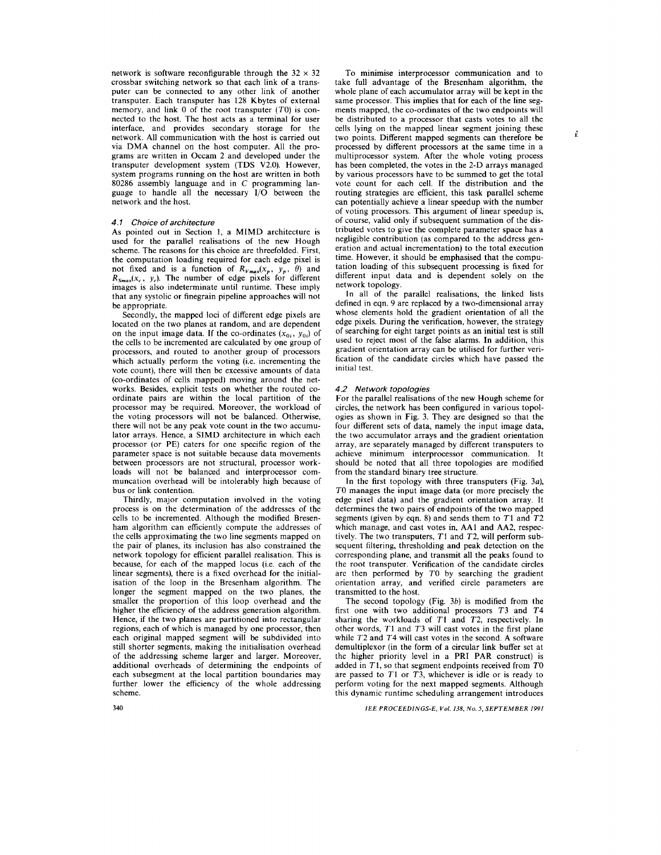network is software reconfigurable through the  $32 \times 32$ crossbar switching network so that each link of a transputer can be connected to any other link of another transputer. Each transputer has **128** Kbytes of external memory, and link 0 of the root transputer (T0) is connected to the host. The host acts as a terminal for user interface, and provides secondary storage for the network. All communication with the host is carried out via DMA channel on the host computer. All the programs are written in Occam 2 and developed under the transputer development system (TDS **V2.0).** However, system programs running on the host are written in both **80286** assembly language and in **C** programming language to handle all the necessary *IjO* between the network and the host.

# *4.1 Choice of architecture*

As pointed out in Section **1,** a MIMD architecture is used for the parallel realisations of the new Hough scheme. The reasons for this choice are threefolded. First, the computation loading required for each edge pixel is not fixed and is a function of  $R_{Vmax}(x_p, y_p, \theta)$  and  $R_{Smax}(x_c, y_c)$ . The number of edge pixels for different images is also indeterminate until runtime. These imply that any systolic or finegrain pipeline approaches will not be appropriate.

Secondly, the mapped loci of different edge pixels are located on the two planes at random, and are dependent on the input image data. If the co-ordinates  $(x_{0i}, y_{0i})$  of the cells to be incremented are calculated by one group of processors, and routed to another group of processors which actually perform the voting (i.e. incrementing the vote count), there will then be excessive amounts of data (co-ordinates of cells mapped) moving around the networks. Besides, explicit tests on whether the routed coordinate pairs are within the local partition of the processor may be required. Moreover, the workload of the voting processors will not be balanced. Otherwise, there will not be any peak vote count in the two accumulator arrays. Hence, a SIMD architecture in which each processor (or PE) caters for one specific region of the parameter space is not suitable because data movements between processors are not structural, processor workloads will not be balanced and interprocessor communcation overhead will be intolerably high because of bus or link contention.

Thirdly, major computation involved in the voting process is on the determination of the addresses of the cells to be incremented. Although the modified Bresenham algorithm can efficiently compute the addresses of the cells approximating the two line segments mapped on the pair of planes, its inclusion has also constrained the network topology for efficient parallel realisation. This is because, for each of the mapped locus (i.e. each of the linear segments), there is a fixed overhead for the initialisation of the loop in the Bresenham algorithm. The longer the segment mapped on the two planes, the smaller the proportion of this loop overhead and the higher the efliciency of the address generation algorithm. Hence, if the two planes are partitioned into rectangular regions, each of which is managed by one processor, then each original mapped segment will be subdivided into still shorter segments, making the initialisation overhead of the addressing scheme larger and larger. Moreover, additional overheads of determining the endpoints of each subsegment at the local partition boundaries may further lower the efficiency of the whole addressing scheme.

To minimise interprocessor communication and to take full advantage of the Bresenham aigorithm, the whole plane of each accumulator array will be kept in the same processor. This implies that for each of the line segments mapped, the co-ordinates of the two endpoints will be distributed to a processor that casts votes to all the cells lying on the mapped linear segment joining these two points. Different mapped segments can therefore be processed by different processors at the same time in a multiprocessor system. After the whole voting process has been completed, the votes in the 2-D arrays managed by various processors have to be summed to get the total vote count for each cell. If the distribution and the routing strategies are efficient, this task parallel scheme can potentially achieve a linear speedup with the number of voting processors. This argument of linear speedup is, of course, valid only if subsequent summation of the distributed votes to give the complete parameter space has a negligible contribution (as compared to the address generation and actual incrementation) to the total execution time. However, it should be emphasised that the computation loading of this subsequent processing is fixed for different input data and is dependent solely on the network topology.

In all of the parallel realisations, the linked lists defined in eqn. **9** are replaced by a two-dimensional array whose elements hold the gradient orientation of all the edge pixels. During the verification, however, the strategy of searching for eight target points as an initial test is still used to reject most of the false alarms. In addition, this gradient orientation array can be utilised for further verification of the candidate circles which have passed the initial test.

### *4.2 Network topologies*

For the parallel realisations of the new Hough scheme for circles, the network has been configured in various topologies as shown in [Fig.](#page-6-0) **3.** They are designed so that the four different sets of data, namely the input image data, the two accumulator arrays and the gradient orientation array, are separately managed by different transputers to achieve minimum interprocessor communication. It should be noted that all three topologies are modified from the standard binary tree structure.

In the first topology with three transputers (Fig. **3a),**  *TO* manages the input image data (or more precisely the edge pixel data) and the gradient orientation array. It determines the two pairs of endpoints of the two mapped segments (given by eqn. **8)** and sends them to **T1** and **T2**  which manage, and cast votes in, AA1 and AA2, respectively. The two transputers, T1 and **T2,** will perform subsequent filtering, thresholding and peak detection on the corresponding plane, and transmit all the peaks found to the root transputer. Verification of the candidate circles are then performed by *TO* by searching the gradient orientation array, and verified circle parameters are transmitted to the host.

The second topology (Fig. **3b)** is modified from the first one with two additional processors **T3** and **T4**  sharing the warkloads of TI and **T2,** respectively. In other words, **T1** and **T3** will cast votes in the first plane while **T2** and **T4** will cast votes in the second. A software demultiplexor (in the form of a circular link buffer set at the higher priority level in a PRI PAR construct) is added in TI, so that segment endpoints received from *TO*  are passed to **TI** or **T3,** whichever is idle or is ready to perform voting for the next mapped segments. Although this dynamic runtime scheduling arrangement introduces

*IEE PROCEEDINGS-E, Vol. 138, No. 5, SEPTEMBER 1991*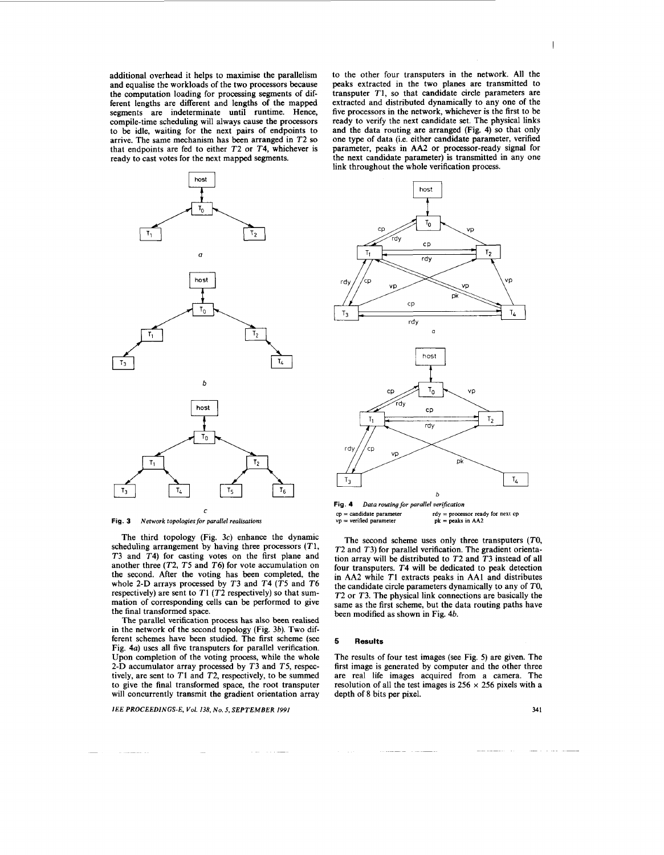<span id="page-6-0"></span>additional overhead it helps to maximise the parallelism and equalise the workloads of the two processors because the computation loading for processing segments of different lengths are different and lengths of the mapped segments are indeterminate until runtime. Hence, compile-time scheduling will always cause the processors to be idle, waiting for the next pairs of endpoints to arrive. The same mechanism has been arranged in *T2* so that endpoints are fed to either *T2* or *T4,* whichever is ready to cast votes for the next mapped segments.



**Fig. 3** *Network topologies for parallel realisations* 

The third topology (Fig. *3c)* enhance the dynamic scheduling arrangement by having three processors *(TI, T3* and *T4)* for casting votes on the first plane and another three *(T2, T5* and *T6)* for vote accumulation on the second. After the voting has been completed, the whole *2-D* arrays processed by *T3* and *T4 (T5* and *T6*  respectively) are sent to *T1 (T2* respectively) *so* that summation of corresponding cells can be performed to give the final transformed space.

The parallel verification process has also been realised in the network of the second topology (Fig. *3b).* Two different schemes have been studied. The first scheme (see Fig. 4a) uses all five transputers for parallel verification. Upon completion of the voting process, while the whole *2-D* accumulator array processed by *T3* and *T5,* respectively, are sent to *T1* and *T2,* respectively, to be summed to give the final transformed space, the root transputer will concurrently transmit the gradient orientation array

*IEE PROCEEDINGS-E, Vol. 138, No. 5, SEPTEMBER I991* **34 1** 

to the other four transputers in the network. All the peaks extracted in the two planes are transmitted to transputer *T1,* so that candidate circle parameters are extracted and distributed dynamically to any one of the five processors in the network, whichever is the first to be ready to verify the next candidate set. The physical links and the data routing are arranged (Fig. *4)* so that only one type of data (i.e. either candidate parameter, verified parameter, peaks in AA2 or processor-ready signal for the next candidate parameter) is transmitted in any one link throughout the whole verification process.



**cp** = **candidate parameter vp** = **verified parameter**  *Data routing for parallel uerijication*  **rdy** = **processor ready for next** *cp*  **pk** = **peaks in AA2** 

The second scheme uses only three transputers (TO, *T2* and *T3)* for parallel verification. The gradient orientation array will be distributed to *T2* and *T3* instead of all four transputers. *T4* will be dedicated to peak detection in AA2 while **T1** extracts peaks in AA1 and distributes the candidate circle parameters dynamically to any of *TO, T2* or *T3.* The physical link connections are basically the same as the first scheme, but the data routing paths have been modified as shown in Fig. *4b.* 

#### **5 Results**

The results of four test images (see Fig. *5)* are given. The first image is generated by computer and the other three are real life images acquired from a camera. The resolution of all the test images is  $256 \times 256$  pixels with a depth of 8 bits per pixel.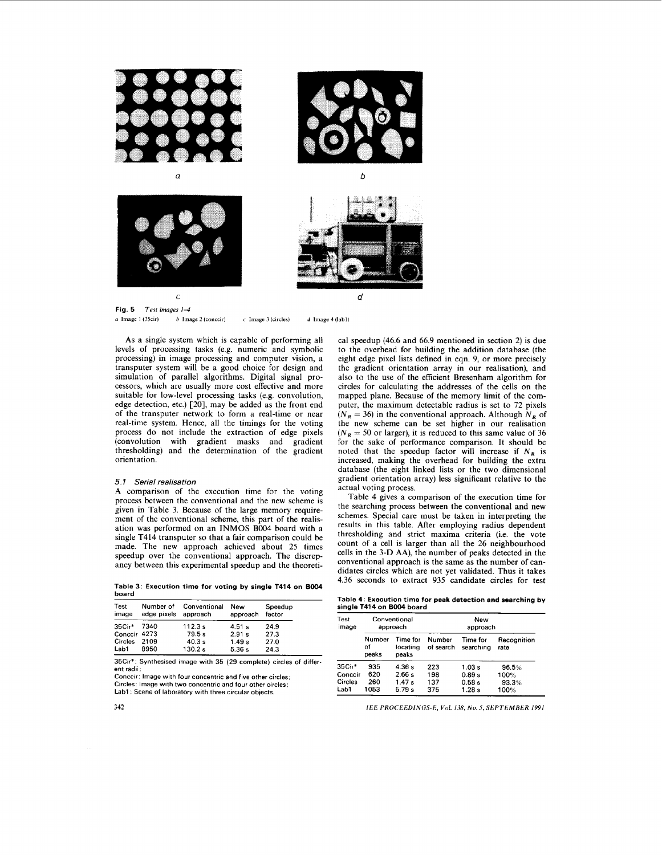

Fig. 5 *Test images*  $1-4$  *a* Image 1 (35cir) *b* Image 2 (conceir) *a* **Image**  $1 (35 \text{cir})$  *b* **Image**  $2 (\text{conccir})$  *c* **Image**  $3 (\text{circles})$  *d* **Image**  $4 (\text{lab1})$ 

As a single system which is capable of performing all levels of processing tasks (e.g. numeric and symbolic processing) in image processing and computer vision, a transputer system will be a good choice for design and simulation of parallel algorithms. Digital signal processors, which are usually more cost effective and more suitable for low-level processing tasks (e.g. convolution, edge detection, etc.)  $\lceil 20 \rceil$ , may be added as the front end of the transputer network to form a real-time or near real-time system. Hence, all the timings for the voting process do not include the extraction of edge pixels (convolution with gradient masks and gradient thresholding) and the determination of the gradient orientation.

## *5.1 Serial realisation*

A comparison of the execution time for the voting process between the conventional and the new scheme is given in Table 3. Because of the large memory requirement of the conventional scheme, this part of the realisation was performed on an **INMOS** B004 board with a single T414 transputer so that a fair comparison could be made. The new approach achieved about 25 times speedup over the conventional approach. The discrepancy between this experimental speedup and the theoreti-

Table **3:** Execution time for voting by single **T414** on BOO4 board

| Test<br>image | Number of<br>edge pixels | Conventional<br>approach | New<br>approach | Speedup<br>factor |
|---------------|--------------------------|--------------------------|-----------------|-------------------|
| 35Cir*        | 7340                     | 112.3 s                  | 4.51 s          | 24.9              |
| Conccir 4273  |                          | 79.5 s                   | 2.91 s          | 27.3              |
| Circles       | 2109                     | 40.3 s                   | 1.49 s          | 27.0              |
| Lab1          | 8950                     | 130.2 s                  | 5.36 s          | 24.3              |

35Cir': Synthesised image with 35 (29 complete) circles of different radii;

Conccir. Image with four concentric and five other circles; Circles: Image with two concentric and four other circles; Lab1 : Scene of laboratory with three circular objects.

cal speedup (46.6 and 66.9 mentioned in section 2) is due to the overhead for building the addition database (the eight edge pixel lists defined in eqn. 9, or more precisely the gradient orientation array in our realisation), and also to the use of the efficient Bresenham algorithm for circles for calculating the addresses of the cells on the mapped plane. Because of the memory limit **of** the computer, the maximum detectable radius is set to 72 pixels  $(N_R = 36)$  in the conventional approach. Although  $N_R$  of the new scheme can be set higher in our realisation  $(N_R = 50$  or larger), it is reduced to this same value of 36 for the sake of performance comparison. It should be noted that the speedup factor will increase if  $N_R$  is increased, making the overhead for building the extra database (the eight linked lists or the two dimensional gradient orientation array) **less** significant relative to the actual voting process.

Table 4 gives a comparison of the execution time for the searching process between the conventional and new schemes. Special care must be taken in interpreting the results in this table. After employing radius dependent thresholding and strict maxima criteria (i.e. the vote count of a cell is larger than all the 26 neighbourhood cells in the 3-D AA), the number of peaks detected in the conventional approach is the same as the number of candidates circles which are not yet validated. Thus it takes 4.36 seconds to extract 935 candidate circles for test

Table **4:** Execution time for peak detection and searching by single **T414** on BOO4 board

| Test<br>image | Conventional<br>approach |                               | New<br>approach            |                       |                     |  |  |
|---------------|--------------------------|-------------------------------|----------------------------|-----------------------|---------------------|--|--|
|               | Number<br>Ωf<br>peaks    | Time for<br>locating<br>peaks | <b>Number</b><br>of search | Time for<br>searching | Recognition<br>rate |  |  |
| $35C++$       | 935                      | 4.36 s                        | 223                        | 1.03 s                | 96.5%               |  |  |
| Conccir       | 620                      | 2.66s                         | 198                        | 0.89 s                | 100%                |  |  |
| Circles       | 260                      | 1.47s                         | 137                        | 0.58s                 | 93.3%               |  |  |
| Lab1          | 1053                     | 5.79 s                        | 375                        | 1.28s                 | 100%                |  |  |

*IEE PROCEEDINGS-E, Vol. 138. No. 5, SEPTEMBER 1991*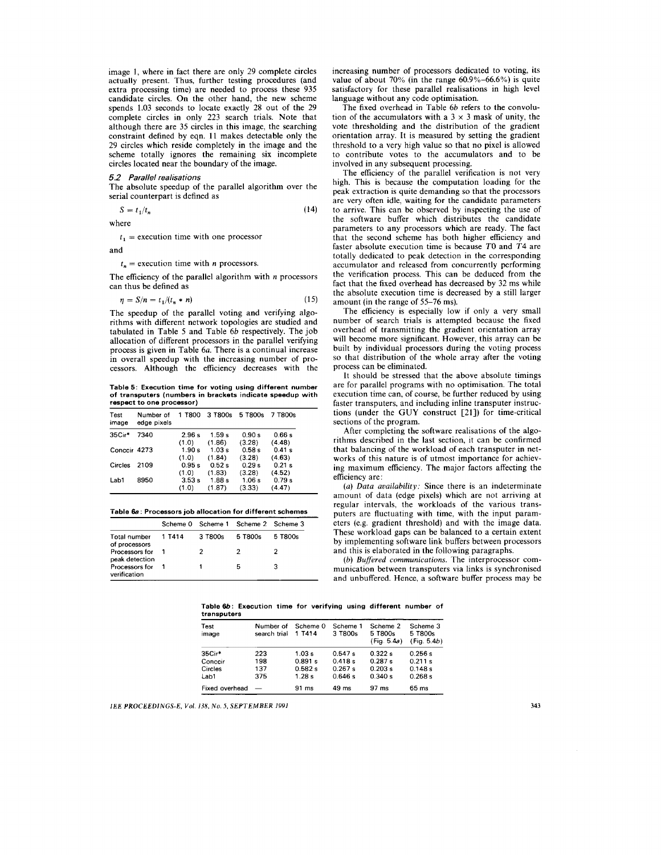image I, where in fact there are only *29* complete circles actually present. Thus, further testing procedures (and extra processing time) are needed to process these *935*  candidate circles. On the other hand, the new scheme spends *1.03* seconds to locate exactly *28* out of the *29*  complete circles in only *223* search trials. Note that although there are *35* circles in this image, the searching constraint defined by eqn. *11* makes detectable only the *29* circles which reside completely in the image and the scheme totally ignores the remaining six incomplete circles located near the boundary of the image.

# 5.2 *Parallel realisations*

The absolute speedup of the parallel algorithm over the serial counterpart is defined as

$$
S = t_1 / t_n \tag{14}
$$

where

 $t_1$  = execution time with one processor

and

#### $t_n$  = execution time with *n* processors.

The efficiency of the parallel algorithm with *n* processors can thus be defined as

$$
\eta = S/n = t_1/(t_n * n) \tag{15}
$$

The speedup of the parallel voting and verifying algorithms with different network topologies are studied and tabulated in Table *5* and Table *6b* respectively. The job allocation of different processors in the parallel verifying process is given in Table *6a.* There is a continual increase in overall speedup with the increasing number of processors. Although the efficiency decreases with the

**Table 5: Execution time for voting using different number of transputers (numbers in brackets indicate speedup with**  respect to one processor)

| Test<br>image | Number of<br>edge pixels | 1 T800 | 3 T800s | 5 T800s | 7 T800s |
|---------------|--------------------------|--------|---------|---------|---------|
| 35Cir*        | 7340                     | 2.96s  | 1.59 s  | 0.90 s  | 0.66s   |
|               |                          | (1.0)  | (1.86)  | (3.28)  | (4.48)  |
| Conccir 4273  |                          | 1.90s  | 1.03 s  | 0.58s   | 0.41 s  |
|               |                          | (1.0)  | (1.84)  | (3.28)  | (4.63)  |
| Circles       | 2109                     | 0.95s  | 0.52s   | 0.29s   | 0.21 s  |
|               |                          | (1.0)  | (1.83)  | (3.28)  | (4.52)  |
| Lab1          | 8950                     | 3.53s  | 1.88s   | 1.06s   | 0.79 s  |
|               |                          | (1.0)  | (1.87)  | (3.33)  | (4.47)  |

#### **'Table 6a: Processors job allocation for different schemes**

|                                      |        |                     | Scheme 0 Scheme 1 Scheme 2 Scheme 3 |         |
|--------------------------------------|--------|---------------------|-------------------------------------|---------|
| <b>Total number</b><br>of processors | 1 T414 | 3 T <sub>800s</sub> | 5 T800s                             | 5 T800s |
| Processors for<br>peak detection     |        |                     |                                     | 2       |
| Processors for<br>verification       |        |                     | 5                                   | з       |

increasing number of processors dedicated to voting, its value of about *70%* (in the range *60.9%-66.6%)* is quite satisfactory for these parallel realisations in high level language without any code optimisation.

The fixed overhead in Table *6b* refers to the convolution of the accumulators with a  $3 \times 3$  mask of unity, the vote thresholding and the distribution of the gradient orientation array. It is measured by setting the gradient threshold to a very high value so that no pixel is allowed to contribute votes to the accumulators and to be involved in any subsequent processing.

The efficiency of the parallel verification is not very high. This is because the computation loading for the peak extraction is quite demanding so that the processors are very often idle, waiting for the candidate parameters to arrive. This can be observed by inspecting the use of the software buffer which distributes the candidate parameters to any processors which are ready. The fact that the second scheme has both higher efficiency and faster absolute execution time is because *TO* and *T4* are totally dedicated to peak detection in the corresponding accumulator and released from concurrently performing the verification process. This can be deduced from the fact that the fixed overhead has decreased by *32* ms while the absolute execution time is decreased by a still larger amount (in the range of *55-76* ms).

The efficiency is especially low if only a very small number of search trials is attempted because the fixed overhead of transmitting the gradient orientation array will become more significant. However, this array can be built by individual processors during the voting process so that distribution of the whole array after the voting process can be eliminated.

It should be stressed that the above absolute timings are for parallel programs with no optimisation. The total execution time can, of course, be further reduced by using faster transputers, and including inline transputer instructions (under the GUY construct [21]) for time-critical sections of the program.

After completing the software realisations of the algorithms described in the last section, it can be confirmed that balancing of the workload of each transputer in networks of this nature is of utmost importance for achieving maximum efficiency. The major factors affecting the efficiency are:

*(a) Data availability:* Since there is an indeterminate amount of data (edge pixels) which are not arriving at regular intervals, the workloads of the various transputers are fluctuating with time, with the input parameters (e.g. gradient threshold) and with the image data. These workload gaps can be balanced to a certain extent by implementing software link buffers between processors and this is elaborated in the following paragraphs.

*(b) Buffered communications.* The interprocessor communication between transputers via links is synchronised and unbuffered. Hence, a software buffer process may be

|             | Table 6b: Execution time for verifying using different number of |  |  |  |  |
|-------------|------------------------------------------------------------------|--|--|--|--|
| transputers |                                                                  |  |  |  |  |

| Test<br>image  | Number of<br>search trial | Scheme 0<br>1 T414 | Scheme 1<br>3 T800s | Scheme 2<br>5 T800s<br>(Fig. 5.4a) | Scheme 3<br>5 T800s<br>(Fia. 5.4b) |
|----------------|---------------------------|--------------------|---------------------|------------------------------------|------------------------------------|
| 35Cir*         | 223                       | 1.03 s             | 0.547 s             | 0.322 s                            | 0.256 s                            |
| Conccir        | 198                       | 0.891 s            | 0.418 s             | 0.287 s                            | 0.211 s                            |
| Circles        | 137                       | 0.582 s            | 0.267s              | 0.203 s                            | 0.148s                             |
| Lab1           | 375                       | 1.28s              | 0.646s              | 0.340 s                            | 0.268 s                            |
| Fixed overhead |                           | $91 \text{ ms}$    | $49 \text{ ms}$     | 97 ms                              | 65 ms                              |

**IEE PROCEEDINGS-E, Val**  *l3X.* **No** *5,* **SEPTEMBER 1991 343**